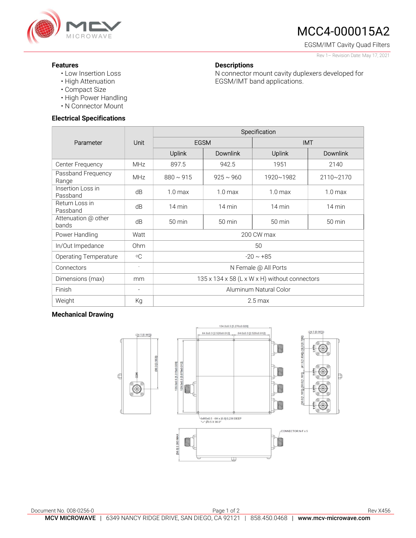

# MCC4-000015A2

EGSM/IMT Cavity Quad Filters

Rev 1– Revision Date: May 17, 2021

### **Descriptions**

N connector mount cavity duplexers developed for EGSM/IMT band applications.

- Features
	- Low Insertion Loss
	- High Attenuation
	- Compact Size
	- High Power Handling
	- N Connector Mount

#### Electrical Specifications

|                               | Unit                     | Specification                                 |                    |                   |                    |
|-------------------------------|--------------------------|-----------------------------------------------|--------------------|-------------------|--------------------|
| Parameter                     |                          | <b>EGSM</b>                                   |                    | <b>IMT</b>        |                    |
|                               |                          | Uplink                                        | <b>Downlink</b>    | <b>Uplink</b>     | <b>Downlink</b>    |
| Center Frequency              | <b>MHz</b>               | 897.5                                         | 942.5              | 1951              | 2140               |
| Passband Frequency<br>Range   | <b>MHz</b>               | $880 \sim 915$                                | $925 \sim 960$     | 1920~1982         | $2110 - 2170$      |
| Insertion Loss in<br>Passband | dB                       | 1.0 <sub>max</sub>                            | 1.0 <sub>max</sub> | $1.0 \text{ max}$ | 1.0 <sub>max</sub> |
| Return Loss in<br>Passband    | dB                       | $14 \text{ min}$                              | 14 min             | $14 \text{ min}$  | $14 \text{ min}$   |
| Attenuation @ other<br>bands  | dB                       | $50 \text{ min}$                              | 50 min             | 50 min            | 50 min             |
| Power Handling                | Watt                     | 200 CW max                                    |                    |                   |                    |
| In/Out Impedance              | Ohm                      | 50                                            |                    |                   |                    |
| <b>Operating Temperature</b>  | $\circ$ C                | $-20 \sim +85$                                |                    |                   |                    |
| Connectors                    | $\sim$                   | N Female @ All Ports                          |                    |                   |                    |
| Dimensions (max)              | mm                       | 135 x 134 x 58 (L x W x H) without connectors |                    |                   |                    |
| Finish                        | $\overline{\phantom{a}}$ | Aluminum Natural Color                        |                    |                   |                    |
| Weight                        | Кg                       | $2.5 \,\mathrm{max}$                          |                    |                   |                    |

#### Mechanical Drawing